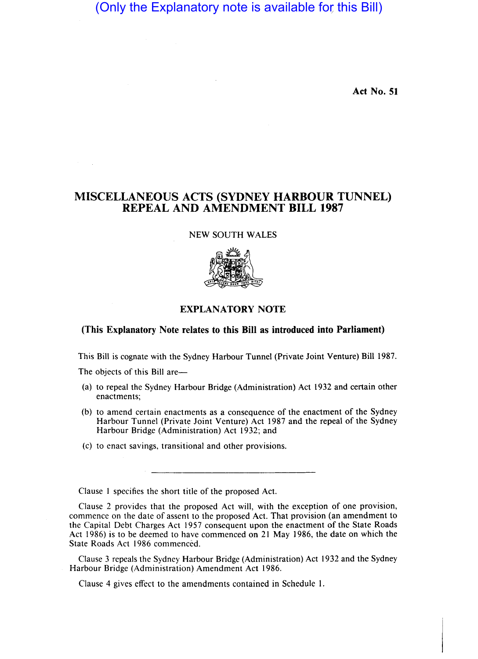(Only the Explanatory note is available for this Bill)

**Act No. 51** 

## **MISCELLANEOUS ACTS (SYDNEY HARBOUR TUNNEL) REPEAL AND AMENDMENT BILL 1987**

## NEW SOUTH WALES



## **EXPLANATORY NOTE**

## **(This Explanatory Note relates to this Bill as introduced into Parliament)**

This Bill is cognate with the Sydney Harbour Tunnel (Private Joint Venture) Bill 1987.

The objects of this Bill are—

- (a) to repeal the Sydney Harbour Bridge (Administration) Act 1932 and certain other enactments;
- (b) to amend certain enactments as a consequence of the enactment of the Sydney Harbour Tunnel (Private Joint Venture) Act 1987 and the repeal of the Sydney Harbour Bridge (Administration) Act 1932; and
- (c) to enact savings, transitional and other provisions.

Clause 1 specifies the short title of the proposed Act.

Clause 2 provides that the proposed Act will, with the exception of one provision, commence on the date of assent to the proposed Act. That provision (an amendment to the Capital Debt Charges Act 1957 consequent upon the enactment of the State Roads Act 1986) is to be deemed to have commenced on 21 May 1986, the date on which the State Roads Act 1986 commenced.

Clause 3 repeals the Sydney Harbour Bridge (Administration) Act 1932 and the Sydney Harbour Bridge (Administration) Amendment Act 1986.

Clause 4 gives effect to the amendments contained in Schedule 1.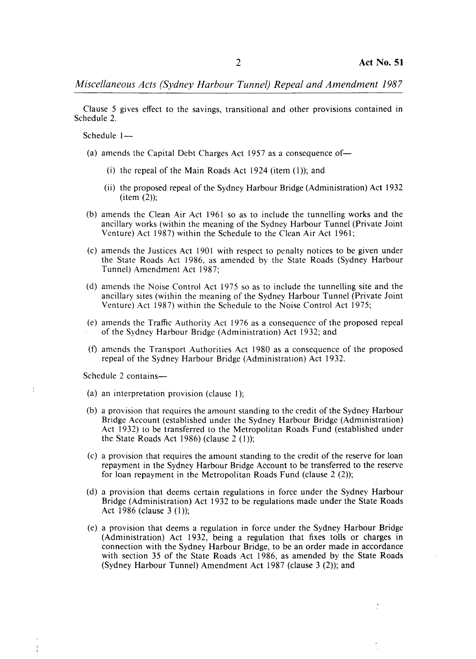*Miscellaneous Acts (Sydney Harbour Tunnel) Repeal and Amendment 1987* 

Clause 5 gives effect to the savings, transitional and other provisions contained in Schedule 2.

Schedule  $1-$ 

- (a) amends the Capital Debt Charges Act 1957 as a consequence of-
	- (i) the repeal of the Main Roads Act 1924 (item  $(1)$ ); and
	- (ii) the proposed repeal of the Sydney Harbour Bridge (Administration) Act 1932  $item (2);$
- (b) amends the Clean Air Act 1961 so as to include the tunnelling works and the ancillary works (within the meaning of the Sydney Harbour Tunnel (Private Joint Venture) Act 1987) within the Schedule to the Clean Air Act 1961;
- (c) amends the Justices Act 1901 with respect to penalty notices to be given under the State Roads Act \986, as amended by the State Roads (Sydney Harbour Tunnel) Amendment Act 1987;
- (d) amends the Noise Control Act 1975 so as to include the tunnelling site and the ancillary sites (within the meaning of the Sydney Harbour Tunnel (Private Joint Venture) Act 1987) within the Schedule to the Noise Control Act 1975;
- (e) amends the Traffic Authority Act 1976 as a consequence of the proposed repeal of the Sydney Harbour Bridge (Administration) Act 1932; and
- (f) amends the Transport Authorities Act 1980 as a consequence of the proposed repeal of the Sydney Harbour Bridge (Administration) Act 1932.

Schedule 2 contains-

 $\cdot$ 

- (a) an interpretation provision (clause I);
- (b) a provision that requires the amount standing to the credit of the Sydney Harbour Bridge Account (established under the Sydney Harbour Bridge (Administration) Act 1932) to be transferred to the Metropolitan Roads Fund (established under the State Roads Act 1986) (clause  $2(1)$ );
- (c) a provision that requires the amount standing to the credit of the reserve for loan repayment in the Sydney Harbour Bridge Account to be transferred to the reserve for loan repayment in the Metropolitan Roads Fund (clause  $2(2)$ );
- (d) a provision that deems certain regulations in force under the Sydney Harbour Bridge (Administration) Act 1932 to be regulations made under the State Roads Act 1986 (clause 3 (1));
- (e) a provision that deems a regulation in force under the Sydney Harbour Bridge (Administration) Act 1932, being a regulation that fixes tolls or charges in connection with the Sydney Harbour Bridge, to be an order made in accordance with section 35 of the State Roads Act 1986, as amended by the State Roads (Sydney Harbour Tunnel) Amendment Act 1987 (clause 3 (2)); and